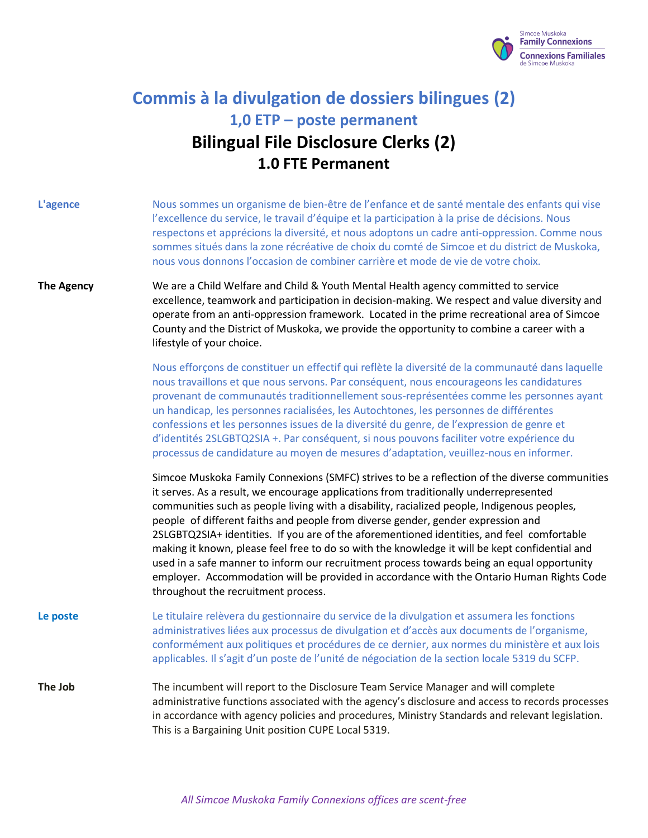

# **Commis à la divulgation de dossiers bilingues (2) 1,0 ETP – poste permanent Bilingual File Disclosure Clerks (2) 1.0 FTE Permanent**

| L'agence          | Nous sommes un organisme de bien-être de l'enfance et de santé mentale des enfants qui vise<br>l'excellence du service, le travail d'équipe et la participation à la prise de décisions. Nous<br>respectons et apprécions la diversité, et nous adoptons un cadre anti-oppression. Comme nous<br>sommes situés dans la zone récréative de choix du comté de Simcoe et du district de Muskoka,<br>nous vous donnons l'occasion de combiner carrière et mode de vie de votre choix.                                                                                                                                                                                                                                                                                                                           |
|-------------------|-------------------------------------------------------------------------------------------------------------------------------------------------------------------------------------------------------------------------------------------------------------------------------------------------------------------------------------------------------------------------------------------------------------------------------------------------------------------------------------------------------------------------------------------------------------------------------------------------------------------------------------------------------------------------------------------------------------------------------------------------------------------------------------------------------------|
| <b>The Agency</b> | We are a Child Welfare and Child & Youth Mental Health agency committed to service<br>excellence, teamwork and participation in decision-making. We respect and value diversity and<br>operate from an anti-oppression framework. Located in the prime recreational area of Simcoe<br>County and the District of Muskoka, we provide the opportunity to combine a career with a<br>lifestyle of your choice.                                                                                                                                                                                                                                                                                                                                                                                                |
|                   | Nous efforçons de constituer un effectif qui reflète la diversité de la communauté dans laquelle<br>nous travaillons et que nous servons. Par conséquent, nous encourageons les candidatures<br>provenant de communautés traditionnellement sous-représentées comme les personnes ayant<br>un handicap, les personnes racialisées, les Autochtones, les personnes de différentes<br>confessions et les personnes issues de la diversité du genre, de l'expression de genre et<br>d'identités 2SLGBTQ2SIA +. Par conséquent, si nous pouvons faciliter votre expérience du<br>processus de candidature au moyen de mesures d'adaptation, veuillez-nous en informer.                                                                                                                                          |
|                   | Simcoe Muskoka Family Connexions (SMFC) strives to be a reflection of the diverse communities<br>it serves. As a result, we encourage applications from traditionally underrepresented<br>communities such as people living with a disability, racialized people, Indigenous peoples,<br>people of different faiths and people from diverse gender, gender expression and<br>2SLGBTQ2SIA+ identities. If you are of the aforementioned identities, and feel comfortable<br>making it known, please feel free to do so with the knowledge it will be kept confidential and<br>used in a safe manner to inform our recruitment process towards being an equal opportunity<br>employer. Accommodation will be provided in accordance with the Ontario Human Rights Code<br>throughout the recruitment process. |
| Le poste          | Le titulaire relèvera du gestionnaire du service de la divulgation et assumera les fonctions<br>administratives liées aux processus de divulgation et d'accès aux documents de l'organisme,<br>conformément aux politiques et procédures de ce dernier, aux normes du ministère et aux lois<br>applicables. Il s'agit d'un poste de l'unité de négociation de la section locale 5319 du SCFP.                                                                                                                                                                                                                                                                                                                                                                                                               |
| The Job           | The incumbent will report to the Disclosure Team Service Manager and will complete<br>administrative functions associated with the agency's disclosure and access to records processes<br>in accordance with agency policies and procedures, Ministry Standards and relevant legislation.<br>This is a Bargaining Unit position CUPE Local 5319.                                                                                                                                                                                                                                                                                                                                                                                                                                                            |